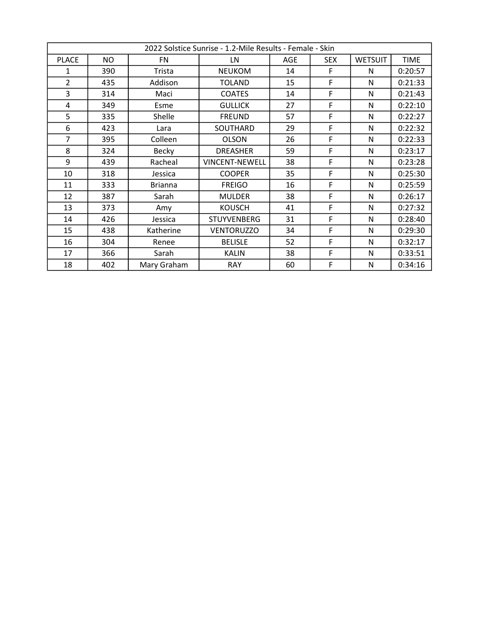|                | 2022 Solstice Sunrise - 1.2-Mile Results - Female - Skin |                |                       |     |            |                |             |  |
|----------------|----------------------------------------------------------|----------------|-----------------------|-----|------------|----------------|-------------|--|
| <b>PLACE</b>   | <b>NO</b>                                                | FN.            | LN                    | AGE | <b>SEX</b> | <b>WETSUIT</b> | <b>TIME</b> |  |
| 1              | 390                                                      | Trista         | <b>NEUKOM</b>         | 14  | F          | N              | 0:20:57     |  |
| $\overline{2}$ | 435                                                      | Addison        | <b>TOLAND</b>         | 15  | F          | N              | 0:21:33     |  |
| 3              | 314                                                      | Maci           | <b>COATES</b>         | 14  | F          | N              | 0:21:43     |  |
| 4              | 349                                                      | Esme           | <b>GULLICK</b>        | 27  | F          | N              | 0:22:10     |  |
| 5              | 335                                                      | Shelle         | <b>FREUND</b>         | 57  | F          | N              | 0:22:27     |  |
| 6              | 423                                                      | Lara           | SOUTHARD              | 29  | F          | N              | 0:22:32     |  |
| $\overline{7}$ | 395                                                      | Colleen        | <b>OLSON</b>          | 26  | F          | N              | 0:22:33     |  |
| 8              | 324                                                      | <b>Becky</b>   | <b>DREASHER</b>       | 59  | F          | N              | 0:23:17     |  |
| 9              | 439                                                      | Racheal        | <b>VINCENT-NEWELL</b> | 38  | F          | N              | 0:23:28     |  |
| 10             | 318                                                      | Jessica        | <b>COOPER</b>         | 35  | F          | N              | 0:25:30     |  |
| 11             | 333                                                      | <b>Brianna</b> | <b>FREIGO</b>         | 16  | F          | N              | 0:25:59     |  |
| 12             | 387                                                      | Sarah          | <b>MULDER</b>         | 38  | F          | N              | 0:26:17     |  |
| 13             | 373                                                      | Amy            | <b>KOUSCH</b>         | 41  | F          | N              | 0:27:32     |  |
| 14             | 426                                                      | Jessica        | <b>STUYVENBERG</b>    | 31  | F          | N              | 0:28:40     |  |
| 15             | 438                                                      | Katherine      | <b>VENTORUZZO</b>     | 34  | F          | N              | 0:29:30     |  |
| 16             | 304                                                      | Renee          | <b>BELISLE</b>        | 52  | F          | N              | 0:32:17     |  |
| 17             | 366                                                      | Sarah          | <b>KALIN</b>          | 38  | F          | N              | 0:33:51     |  |
| 18             | 402                                                      | Mary Graham    | <b>RAY</b>            | 60  | F          | N              | 0:34:16     |  |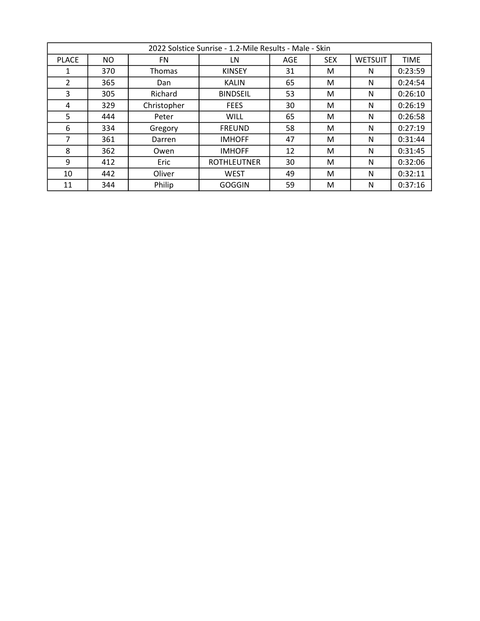|              | 2022 Solstice Sunrise - 1.2-Mile Results - Male - Skin |               |                    |            |            |                |             |  |  |
|--------------|--------------------------------------------------------|---------------|--------------------|------------|------------|----------------|-------------|--|--|
| <b>PLACE</b> | <b>NO</b>                                              | FN            | LN                 | <b>AGE</b> | <b>SEX</b> | <b>WETSUIT</b> | <b>TIME</b> |  |  |
| 1            | 370                                                    | <b>Thomas</b> | <b>KINSEY</b>      | 31         | м          | N              | 0:23:59     |  |  |
| 2            | 365                                                    | Dan           | <b>KALIN</b>       | 65         | м          | N              | 0:24:54     |  |  |
| 3            | 305                                                    | Richard       | <b>BINDSEIL</b>    | 53         | м          | N              | 0:26:10     |  |  |
| 4            | 329                                                    | Christopher   | <b>FEES</b>        | 30         | м          | N              | 0:26:19     |  |  |
| 5            | 444                                                    | Peter         | <b>WILL</b>        | 65         | м          | N              | 0:26:58     |  |  |
| 6            | 334                                                    | Gregory       | <b>FREUND</b>      | 58         | м          | N              | 0:27:19     |  |  |
| 7            | 361                                                    | Darren        | <b>IMHOFF</b>      | 47         | м          | N              | 0:31:44     |  |  |
| 8            | 362                                                    | Owen          | <b>IMHOFF</b>      | 12         | M          | N              | 0:31:45     |  |  |
| 9            | 412                                                    | Eric          | <b>ROTHLEUTNER</b> | 30         | м          | N              | 0:32:06     |  |  |
| 10           | 442                                                    | Oliver        | <b>WEST</b>        | 49         | м          | N              | 0:32:11     |  |  |
| 11           | 344                                                    | Philip        | <b>GOGGIN</b>      | 59         | м          | N              | 0:37:16     |  |  |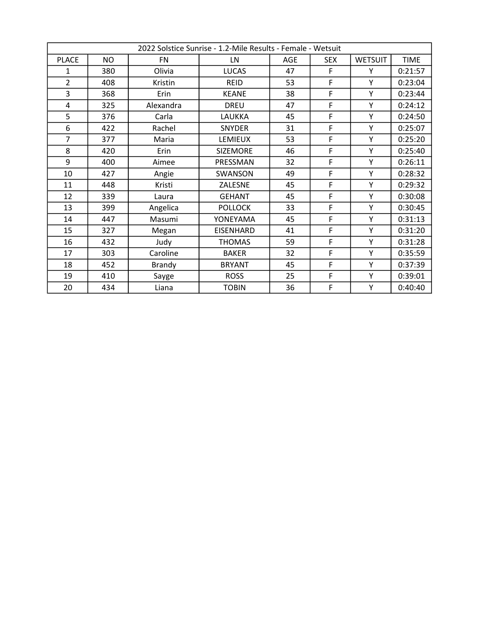| 2022 Solstice Sunrise - 1.2-Mile Results - Female - Wetsuit |     |               |                  |     |            |                |             |
|-------------------------------------------------------------|-----|---------------|------------------|-----|------------|----------------|-------------|
| <b>PLACE</b>                                                | NO. | <b>FN</b>     | LN               | AGE | <b>SEX</b> | <b>WETSUIT</b> | <b>TIME</b> |
| 1                                                           | 380 | Olivia        | <b>LUCAS</b>     | 47  | F          | Υ              | 0:21:57     |
| $\overline{2}$                                              | 408 | Kristin       | <b>REID</b>      | 53  | F          | Y              | 0:23:04     |
| 3                                                           | 368 | <b>Erin</b>   | <b>KEANE</b>     | 38  | F          | Y              | 0:23:44     |
| 4                                                           | 325 | Alexandra     | <b>DREU</b>      | 47  | F          | Y              | 0:24:12     |
| 5                                                           | 376 | Carla         | LAUKKA           | 45  | F          | Y              | 0:24:50     |
| 6                                                           | 422 | Rachel        | <b>SNYDER</b>    | 31  | F          | Y              | 0:25:07     |
| $\overline{7}$                                              | 377 | Maria         | <b>LEMIEUX</b>   | 53  | F          | Y              | 0:25:20     |
| 8                                                           | 420 | Erin          | SIZEMORE         | 46  | F          | Y              | 0:25:40     |
| 9                                                           | 400 | Aimee         | PRESSMAN         | 32  | F          | Y              | 0:26:11     |
| 10                                                          | 427 | Angie         | <b>SWANSON</b>   | 49  | F          | Y              | 0:28:32     |
| 11                                                          | 448 | Kristi        | ZALESNE          | 45  | F          | Y              | 0:29:32     |
| 12                                                          | 339 | Laura         | <b>GEHANT</b>    | 45  | F          | Y              | 0:30:08     |
| 13                                                          | 399 | Angelica      | <b>POLLOCK</b>   | 33  | F          | Y              | 0:30:45     |
| 14                                                          | 447 | Masumi        | YONEYAMA         | 45  | F          | Y              | 0:31:13     |
| 15                                                          | 327 | Megan         | <b>EISENHARD</b> | 41  | F          | Y              | 0:31:20     |
| 16                                                          | 432 | Judy          | <b>THOMAS</b>    | 59  | F          | Y              | 0:31:28     |
| 17                                                          | 303 | Caroline      | <b>BAKER</b>     | 32  | F          | Y              | 0:35:59     |
| 18                                                          | 452 | <b>Brandy</b> | <b>BRYANT</b>    | 45  | F          | Y              | 0:37:39     |
| 19                                                          | 410 | Sayge         | <b>ROSS</b>      | 25  | F          | Y              | 0:39:01     |
| 20                                                          | 434 | Liana         | <b>TOBIN</b>     | 36  | F          | Y              | 0:40:40     |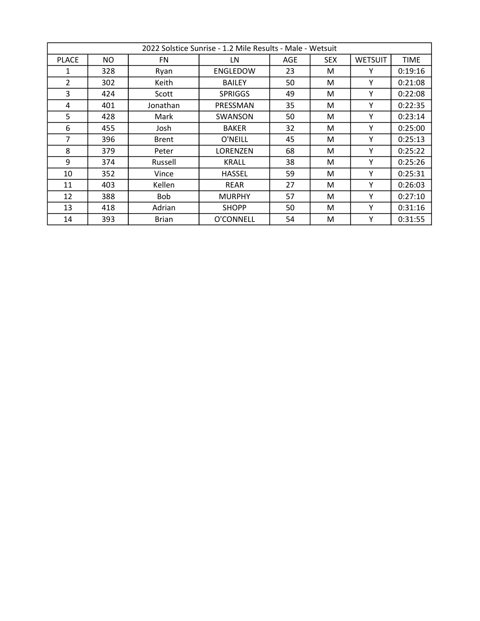|                | 2022 Solstice Sunrise - 1.2 Mile Results - Male - Wetsuit |              |                 |     |            |                |             |  |
|----------------|-----------------------------------------------------------|--------------|-----------------|-----|------------|----------------|-------------|--|
| <b>PLACE</b>   | NO.                                                       | FN.          | LN              | AGE | <b>SEX</b> | <b>WETSUIT</b> | <b>TIME</b> |  |
| 1              | 328                                                       | Ryan         | <b>ENGLEDOW</b> | 23  | M          | Υ              | 0:19:16     |  |
| $\overline{2}$ | 302                                                       | Keith        | <b>BAILEY</b>   | 50  | М          | Υ              | 0:21:08     |  |
| 3              | 424                                                       | Scott        | <b>SPRIGGS</b>  | 49  | М          | Υ              | 0:22:08     |  |
| 4              | 401                                                       | Jonathan     | PRESSMAN        | 35  | M          | Υ              | 0:22:35     |  |
| 5              | 428                                                       | Mark         | <b>SWANSON</b>  | 50  | M          | Υ              | 0:23:14     |  |
| 6              | 455                                                       | Josh         | <b>BAKER</b>    | 32  | М          | Υ              | 0:25:00     |  |
| $\overline{7}$ | 396                                                       | <b>Brent</b> | O'NEILL         | 45  | M          | Υ              | 0:25:13     |  |
| 8              | 379                                                       | Peter        | LORENZEN        | 68  | М          | Υ              | 0:25:22     |  |
| 9              | 374                                                       | Russell      | KRALL           | 38  | М          | Υ              | 0:25:26     |  |
| 10             | 352                                                       | Vince        | <b>HASSEL</b>   | 59  | M          | Υ              | 0:25:31     |  |
| 11             | 403                                                       | Kellen       | <b>REAR</b>     | 27  | М          | Υ              | 0:26:03     |  |
| 12             | 388                                                       | <b>Bob</b>   | <b>MURPHY</b>   | 57  | М          | Υ              | 0:27:10     |  |
| 13             | 418                                                       | Adrian       | <b>SHOPP</b>    | 50  | M          | Υ              | 0:31:16     |  |
| 14             | 393                                                       | <b>Brian</b> | O'CONNELL       | 54  | М          | Υ              | 0:31:55     |  |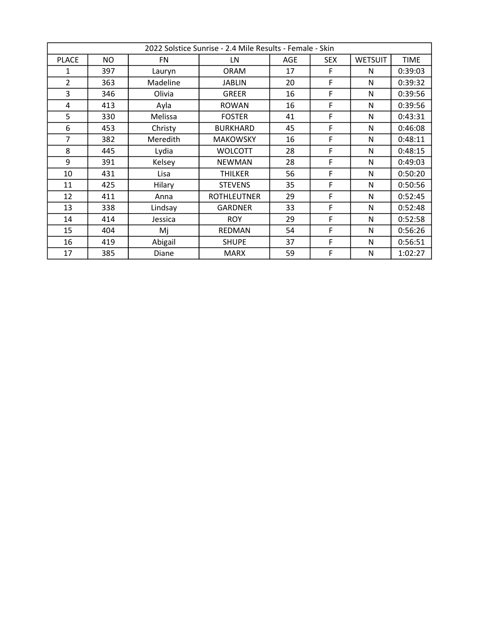|                | 2022 Solstice Sunrise - 2.4 Mile Results - Female - Skin |           |                    |            |            |                |             |  |
|----------------|----------------------------------------------------------|-----------|--------------------|------------|------------|----------------|-------------|--|
| <b>PLACE</b>   | <b>NO</b>                                                | <b>FN</b> | LN                 | <b>AGE</b> | <b>SEX</b> | <b>WETSUIT</b> | <b>TIME</b> |  |
| 1              | 397                                                      | Lauryn    | <b>ORAM</b>        | 17         | F          | N              | 0:39:03     |  |
| $\overline{2}$ | 363                                                      | Madeline  | <b>JABLIN</b>      | 20         | F          | N              | 0:39:32     |  |
| 3              | 346                                                      | Olivia    | <b>GREER</b>       | 16         | F          | N              | 0:39:56     |  |
| 4              | 413                                                      | Ayla      | <b>ROWAN</b>       | 16         | F          | N              | 0:39:56     |  |
| 5              | 330                                                      | Melissa   | <b>FOSTER</b>      | 41         | F          | N              | 0:43:31     |  |
| 6              | 453                                                      | Christy   | <b>BURKHARD</b>    | 45         | F          | N              | 0:46:08     |  |
| $\overline{7}$ | 382                                                      | Meredith  | <b>MAKOWSKY</b>    | 16         | F          | N              | 0:48:11     |  |
| 8              | 445                                                      | Lydia     | <b>WOLCOTT</b>     | 28         | F          | N              | 0:48:15     |  |
| 9              | 391                                                      | Kelsey    | <b>NEWMAN</b>      | 28         | F          | N              | 0:49:03     |  |
| 10             | 431                                                      | Lisa      | <b>THILKER</b>     | 56         | F          | N              | 0:50:20     |  |
| 11             | 425                                                      | Hilary    | <b>STEVENS</b>     | 35         | F          | N              | 0:50:56     |  |
| 12             | 411                                                      | Anna      | <b>ROTHLEUTNER</b> | 29         | F          | N              | 0:52:45     |  |
| 13             | 338                                                      | Lindsay   | <b>GARDNER</b>     | 33         | F          | N              | 0:52:48     |  |
| 14             | 414                                                      | Jessica   | <b>ROY</b>         | 29         | F          | N              | 0:52:58     |  |
| 15             | 404                                                      | Mj        | <b>REDMAN</b>      | 54         | F          | N              | 0:56:26     |  |
| 16             | 419                                                      | Abigail   | <b>SHUPE</b>       | 37         | F          | N              | 0:56:51     |  |
| 17             | 385                                                      | Diane     | <b>MARX</b>        | 59         | F          | N              | 1:02:27     |  |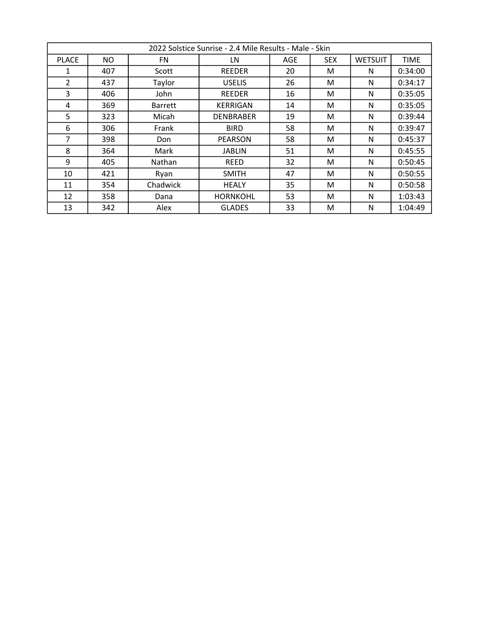|                | 2022 Solstice Sunrise - 2.4 Mile Results - Male - Skin |                |                  |            |            |                |             |
|----------------|--------------------------------------------------------|----------------|------------------|------------|------------|----------------|-------------|
| <b>PLACE</b>   | NO.                                                    | <b>FN</b>      | LN               | <b>AGE</b> | <b>SEX</b> | <b>WETSUIT</b> | <b>TIME</b> |
| 1              | 407                                                    | Scott          | <b>REEDER</b>    | 20         | M          | N              | 0:34:00     |
| $\overline{2}$ | 437                                                    | Taylor         | <b>USELIS</b>    | 26         | M          | N              | 0:34:17     |
| 3              | 406                                                    | John           | <b>REEDER</b>    | 16         | М          | N              | 0:35:05     |
| 4              | 369                                                    | <b>Barrett</b> | <b>KERRIGAN</b>  | 14         | M          | N              | 0:35:05     |
| 5              | 323                                                    | Micah          | <b>DENBRABER</b> | 19         | M          | N              | 0:39:44     |
| 6              | 306                                                    | Frank          | <b>BIRD</b>      | 58         | M          | N              | 0:39:47     |
| $\overline{7}$ | 398                                                    | Don            | <b>PEARSON</b>   | 58         | М          | N              | 0:45:37     |
| 8              | 364                                                    | Mark           | <b>JABLIN</b>    | 51         | M          | N              | 0:45:55     |
| 9              | 405                                                    | Nathan         | <b>REED</b>      | 32         | M          | N              | 0:50:45     |
| 10             | 421                                                    | Ryan           | <b>SMITH</b>     | 47         | M          | N              | 0:50:55     |
| 11             | 354                                                    | Chadwick       | <b>HEALY</b>     | 35         | M          | N              | 0:50:58     |
| 12             | 358                                                    | Dana           | <b>HORNKOHL</b>  | 53         | M          | N              | 1:03:43     |
| 13             | 342                                                    | Alex           | <b>GLADES</b>    | 33         | M          | N              | 1:04:49     |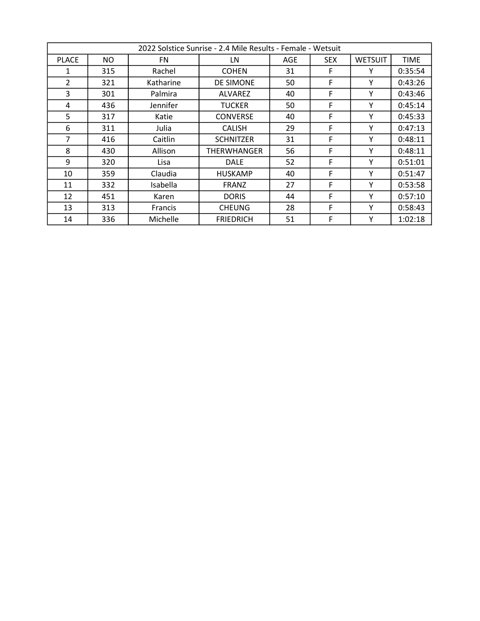|                | 2022 Solstice Sunrise - 2.4 Mile Results - Female - Wetsuit |                 |                  |     |            |                |             |  |
|----------------|-------------------------------------------------------------|-----------------|------------------|-----|------------|----------------|-------------|--|
| <b>PLACE</b>   | NO.                                                         | FN.             | LN               | AGE | <b>SEX</b> | <b>WETSUIT</b> | <b>TIME</b> |  |
| 1              | 315                                                         | Rachel          | <b>COHEN</b>     | 31  | F          | Υ              | 0:35:54     |  |
| $\overline{2}$ | 321                                                         | Katharine       | DE SIMONE        | 50  | F          | Υ              | 0:43:26     |  |
| 3              | 301                                                         | Palmira         | ALVAREZ          | 40  | F          | Υ              | 0:43:46     |  |
| 4              | 436                                                         | Jennifer        | <b>TUCKER</b>    | 50  | F          | Υ              | 0:45:14     |  |
| 5              | 317                                                         | Katie           | <b>CONVERSE</b>  | 40  | F          | Υ              | 0:45:33     |  |
| 6              | 311                                                         | Julia           | <b>CALISH</b>    | 29  | F          | Υ              | 0:47:13     |  |
| $\overline{7}$ | 416                                                         | Caitlin         | <b>SCHNITZER</b> | 31  | F          | Υ              | 0:48:11     |  |
| 8              | 430                                                         | Allison         | THERWHANGER      | 56  | F          | Υ              | 0:48:11     |  |
| 9              | 320                                                         | Lisa            | <b>DALE</b>      | 52  | F          | Υ              | 0:51:01     |  |
| 10             | 359                                                         | Claudia         | <b>HUSKAMP</b>   | 40  | F          | Υ              | 0:51:47     |  |
| 11             | 332                                                         | <b>Isabella</b> | <b>FRANZ</b>     | 27  | F          | Υ              | 0:53:58     |  |
| 12             | 451                                                         | Karen           | <b>DORIS</b>     | 44  | F          | Υ              | 0:57:10     |  |
| 13             | 313                                                         | <b>Francis</b>  | <b>CHEUNG</b>    | 28  | F          | Υ              | 0:58:43     |  |
| 14             | 336                                                         | Michelle        | <b>FRIEDRICH</b> | 51  | F          | Υ              | 1:02:18     |  |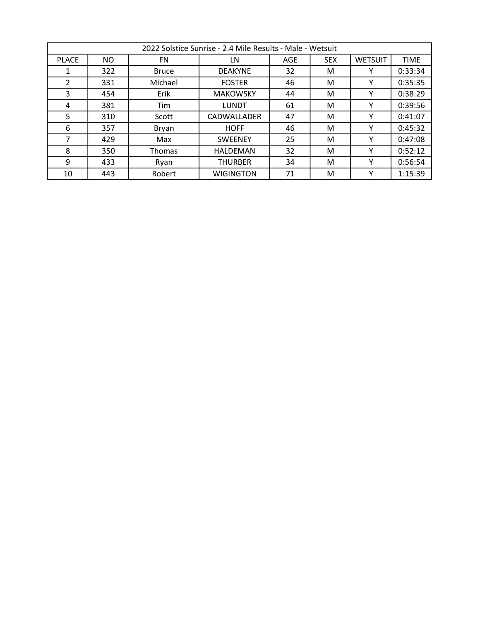|              | 2022 Solstice Sunrise - 2.4 Mile Results - Male - Wetsuit |               |                  |     |            |                |             |  |  |
|--------------|-----------------------------------------------------------|---------------|------------------|-----|------------|----------------|-------------|--|--|
| <b>PLACE</b> | NO.                                                       | FN            | LN               | AGE | <b>SEX</b> | <b>WETSUIT</b> | <b>TIME</b> |  |  |
|              | 322                                                       | Bruce         | <b>DEAKYNE</b>   | 32  | м          |                | 0:33:34     |  |  |
| 2            | 331                                                       | Michael       | <b>FOSTER</b>    | 46  | M          |                | 0:35:35     |  |  |
| 3            | 454                                                       | Erik          | <b>MAKOWSKY</b>  | 44  | M          |                | 0:38:29     |  |  |
| 4            | 381                                                       | Tim           | LUNDT            | 61  | M          |                | 0:39:56     |  |  |
| 5            | 310                                                       | Scott         | CADWALLADER      | 47  | м          |                | 0:41:07     |  |  |
| 6            | 357                                                       | Bryan         | <b>HOFF</b>      | 46  | м          |                | 0:45:32     |  |  |
| 7            | 429                                                       | Max           | <b>SWEENEY</b>   | 25  | м          |                | 0:47:08     |  |  |
| 8            | 350                                                       | <b>Thomas</b> | HALDEMAN         | 32  | M          |                | 0:52:12     |  |  |
| 9            | 433                                                       | Ryan          | <b>THURBER</b>   | 34  | M          |                | 0:56:54     |  |  |
| 10           | 443                                                       | Robert        | <b>WIGINGTON</b> | 71  | м          |                | 1:15:39     |  |  |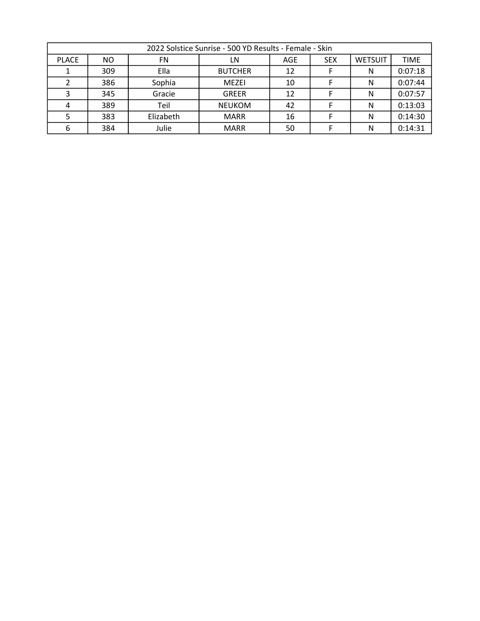|              | 2022 Solstice Sunrise - 500 YD Results - Female - Skin |           |                |     |            |                |             |  |
|--------------|--------------------------------------------------------|-----------|----------------|-----|------------|----------------|-------------|--|
| <b>PLACE</b> | NO.                                                    | FN        | LN             | AGE | <b>SEX</b> | <b>WETSUIT</b> | <b>TIME</b> |  |
|              | 309                                                    | Ella      | <b>BUTCHER</b> | 12  |            | N              | 0:07:18     |  |
|              | 386                                                    | Sophia    | MEZEI          | 10  |            | N              | 0:07:44     |  |
|              | 345                                                    | Gracie    | <b>GREER</b>   | 12  |            |                | 0:07:57     |  |
|              | 389                                                    | Teil      | <b>NEUKOM</b>  | 42  |            |                | 0:13:03     |  |
|              | 383                                                    | Elizabeth | <b>MARR</b>    | 16  |            | Ν              | 0:14:30     |  |
|              | 384                                                    | Julie     | <b>MARR</b>    | 50  |            |                | 0:14:31     |  |